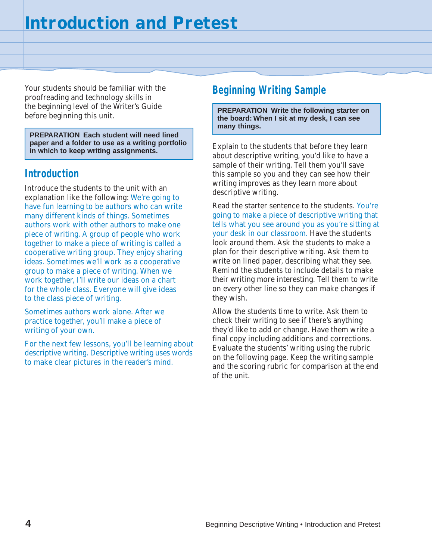Your students should be familiar with the proofreading and technology skills in the beginning level of the Writer's Guide before beginning this unit.

**PREPARATION Each student will need lined paper and a folder to use as a writing portfolio in which to keep writing assignments.**

### **Introduction**

Introduce the students to the unit with an explanation like the following: We're going to have fun learning to be authors who can write many different kinds of things. Sometimes authors work with other authors to make one piece of writing. A group of people who work together to make a piece of writing is called a cooperative writing group. They enjoy sharing ideas. Sometimes we'll work as a cooperative group to make a piece of writing. When we work together, I'll write our ideas on a chart for the whole class. Everyone will give ideas to the class piece of writing.

Sometimes authors work alone. After we practice together, you'll make a piece of writing of your own.

For the next few lessons, you'll be learning about descriptive writing. Descriptive writing uses words to make clear pictures in the reader's mind.

### **Beginning Writing Sample**

**PREPARATION Write the following starter on the board: When I sit at my desk, I can see many things.**

Explain to the students that before they learn about descriptive writing, you'd like to have a sample of their writing. Tell them you'll save this sample so you and they can see how their writing improves as they learn more about descriptive writing.

Read the starter sentence to the students. You're going to make a piece of descriptive writing that tells what you see around you as you're sitting at your desk in our classroom. Have the students look around them. Ask the students to make a plan for their descriptive writing. Ask them to write on lined paper, describing what they see. Remind the students to include details to make their writing more interesting. Tell them to write on every other line so they can make changes if they wish.

Allow the students time to write. Ask them to check their writing to see if there's anything they'd like to add or change. Have them write a final copy including additions and corrections. Evaluate the students' writing using the rubric on the following page. Keep the writing sample and the scoring rubric for comparison at the end of the unit.